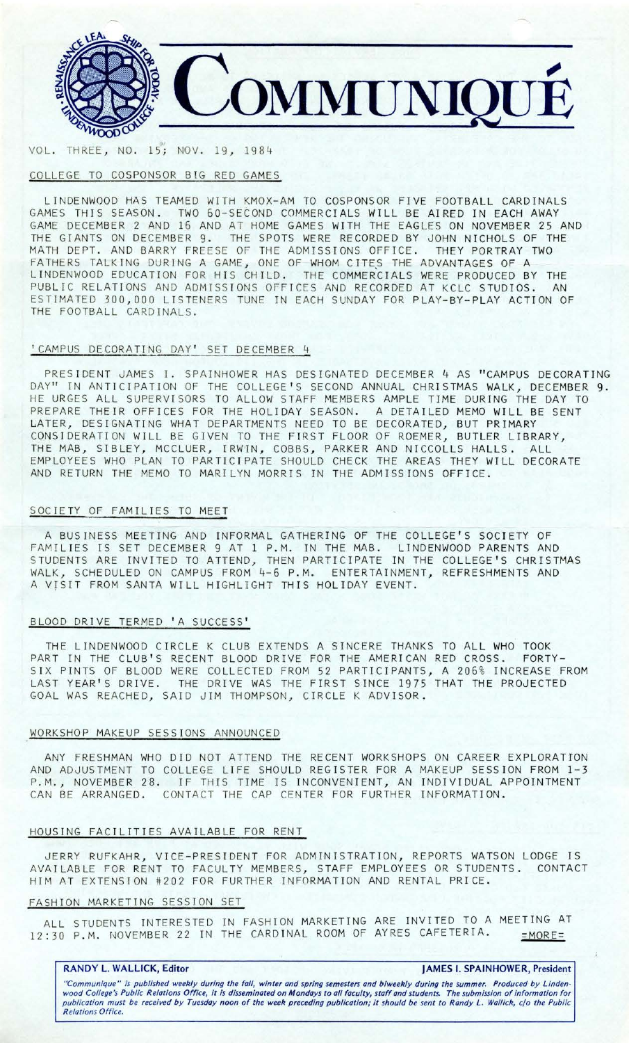

*(Jt*  VOL. TH REE , NO. 15; NOV. 19, 19 8 4

# COLLEGE TO COSPONSOR BIG RED GAMES

LINDENWOOD HAS TEAMED WITH KMOX-AM TO COSPONSOR FIVE FOOTBALL CARDINALS GAMES THIS SEASON. TWO 60-SECOND COMMERCIALS WILL BE AIRED IN EACH AWAY GAME DECEMBER 2 AND 16 AND AT HOME GAMES WITH THE EAGLES ON NOVEMBER 25 AND THE GIANTS ON DECEMBER 9. THE SPOTS WERE RECORDED BY JOHN NICHOLS OF THE MATH DEPT. AND BARRY FREESE OF THE ADMISSIONS OFFICE. THEY PORTRAY TWO FATHERS TALKING DURING A GAME, ONE OF WHOM CITES THE ADVANTAGES OF A LINDENWOOD EDUCATION FOR HIS CHILD. THE COMMERCIALS WERE PRODUCED BY THE PUBLIC RELATIONS AND ADMISSIONS OFFICES AND RECORDED AT KCLC STUDIOS. AN ESTIMATED 300,000 LISTENERS TUNE IN EACH SUNDAY FOR PLAY-BY-PLAY ACTION OF THE FOOTBALL CARDINALS.

# 'CAMPUS DECORATING DAY' SET DECEMBER 4

PRESIDENT JAMES I. SPAINHOWER HAS DESIGNATED DECEMBER 4 AS "CAMPUS DECORATING DAY" IN ANTICIPATION OF THE COLLEGE'S SECOND ANNUAL CHRISTMAS WALK, DECEMBER 9. HE URGES ALL SUPERVISORS TO ALLOW STAFF MEMBERS AMPLE TIME DURING THE DAY TO PREPARE THEIR OFFICES FOR THE HOLIDAY SEASON. A DETAILED MEMO WILL BE SENT LATER, DESIGNATING WHAT DEPARTMENTS NEED TO BE DECORATED, BUT PRIMARY CONSIDERATION WILL BE GIVEN TO THE FIRST FLOOR OF ROEMER, BUTLER LIBRARY, THE MAB, SIBLEY, MCCLUER, IRWIN, COBBS, PARKER AND NICCOLLS HALLS. ALL EMPLOYEES WHO PLAN TO PARTICIPATE SHOULD CHECK THE AREAS THEY WILL DECORATE AND RETURN THE MEMO TO MARILYN MORRIS IN THE ADMISSIONS OFFICE.

### SOCIETY OF FAMILIES TO MEET

A BUSINESS MEETING AND INFORMAL GATHERING OF THE COLLEGE'S SOCIETY OF FAMILIES IS SET DECEMBER 9 AT 1 P.M. IN THE MAB. LINDENWOOD PARENTS AND STUDENTS ARE INVITED TO ATTEND, THEN PARTICIPATE IN THE COLLEGE'S CHRISTMAS WALK, SCHEDULED ON CAMPUS FROM 4-6 P.M. ENTERTAINMENT, REFRESHMENTS AND A VISIT FROM SANTA WILL HIGHLIGHT THIS HOLIDAY EVENT.

# BLOOD DRIVE TERMED 'A SUCCESS'

THE LINDENWOOD CIRCLE K CLUB EXTENDS A SINCERE THANKS TO ALL WHO TOOK PART IN THE CLUB'S RECENT BLOOD DRIVE FOR THE AMERICAN RED CROSS. FORTY-SIX PINTS OF BLOOD WERE COLLECTED FROM 52 PARTICIPANTS, A 206% INCREASE FROM LAST YEAR'S DRIVE. THE DRIVE WAS THE FIRST SINCE 1975 THAT THE PROJECTED GOAL WAS REACHED, SAID JIM THOMPSON, CIRCLE K ADVISOR.

### WORKSHOP MAKEUP SESSIONS ANNOUNCED

ANY FRESHMAN WHO DID NOT ATTEND THE RECENT WORKSHOPS ON CAREER EXPLORATION AND ADJUSTMENT TO COLLEGE LIFE SHOULD REGISTER FOR A MAKEUP SESSION FROM 1-3 P.M., NOVEMBER 28. IF THIS TIME IS INCONVENIENT, AN INDIVIDUAL APPOINTMENT CAN BE ARRANGED. CONTACT THE CAP CENTER FOR FURTHER INFORMATION.

### HOUSING FACILITIES AVAILABLE FOR RENT

JERRY RUFKAHR, VICE-PRESIDENT FOR ADMIN IS TRATION, REPORTS WATSON LODGE IS AVAILABLE FOR RENT TO FACULTY MEMBERS, STAFF EMPLOYEES OR STUDENTS. CONTACT HIM AT EXTENSION #202 FOR FURTHER INFORMATION AND RENTAL PRICE.

### FASHION MARKETING SESSION SET

ALL STUDENTS INTERESTED IN FASHION MARKETING ARE INVITED TO A MEETING AT 12:30 P.M. NOVEMBER 22 IN THE CARDINAL ROOM OF AYRES CAFETERIA. = = MORE=

### **RANDY L. WALLICK, Editor JAMES I. SPAINHOWER, President**

"Communique" is published weekly during the fall, winter and spring semesters and biweekly during the summer. Produced by Linden-<br>wood College's Public Relations Office, it is disseminated on Mondays to all faculty, staff publication must be received by Tuesday noon of the week preceding publication; it should be sent to Randy *L.* Wallick, c/o the Public Relations Office.